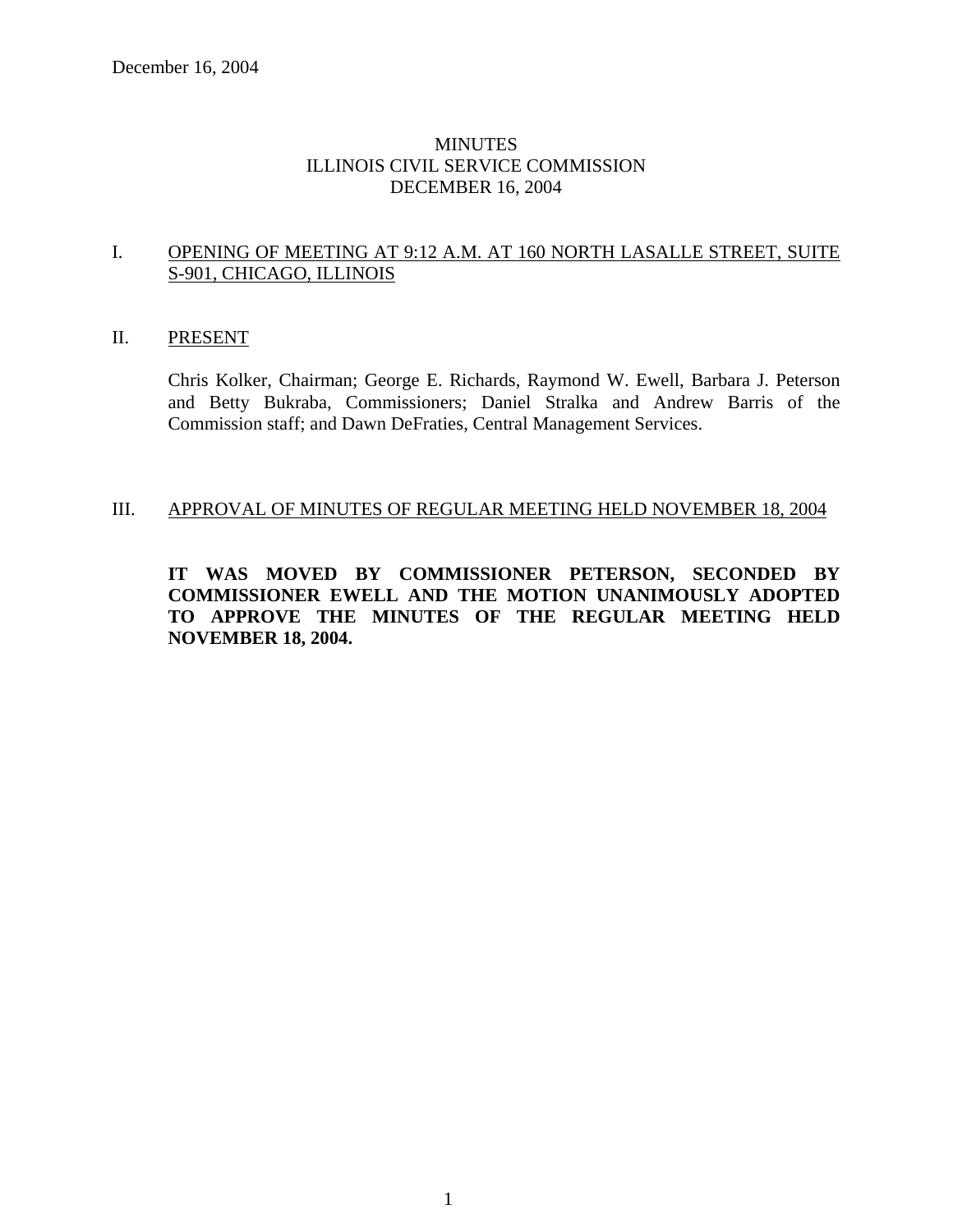### **MINUTES** ILLINOIS CIVIL SERVICE COMMISSION DECEMBER 16, 2004

#### I. OPENING OF MEETING AT 9:12 A.M. AT 160 NORTH LASALLE STREET, SUITE S-901, CHICAGO, ILLINOIS

#### II. PRESENT

Chris Kolker, Chairman; George E. Richards, Raymond W. Ewell, Barbara J. Peterson and Betty Bukraba, Commissioners; Daniel Stralka and Andrew Barris of the Commission staff; and Dawn DeFraties, Central Management Services.

#### III. APPROVAL OF MINUTES OF REGULAR MEETING HELD NOVEMBER 18, 2004

**IT WAS MOVED BY COMMISSIONER PETERSON, SECONDED BY COMMISSIONER EWELL AND THE MOTION UNANIMOUSLY ADOPTED TO APPROVE THE MINUTES OF THE REGULAR MEETING HELD NOVEMBER 18, 2004.**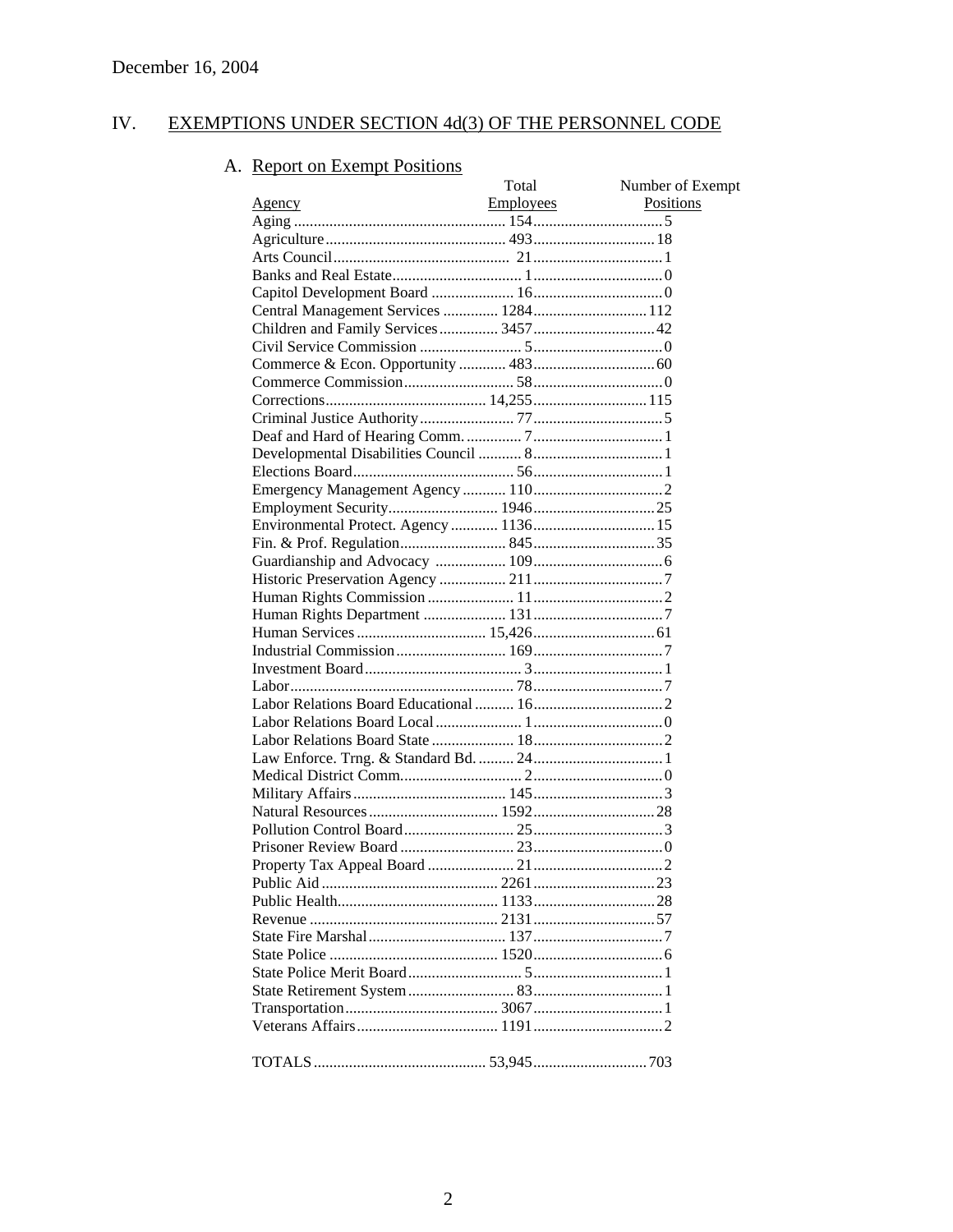#### IV. EXEMPTIONS UNDER SECTION 4d(3) OF THE PERSONNEL CODE

# A. Report on Exempt Positions

| <b>Report on Exempt Positions</b>     |           |                  |
|---------------------------------------|-----------|------------------|
|                                       | Total     | Number of Exempt |
| Agency                                | Employees | <b>Positions</b> |
|                                       |           |                  |
|                                       |           |                  |
|                                       |           |                  |
|                                       |           |                  |
|                                       |           |                  |
| Central Management Services  1284 112 |           |                  |
| Children and Family Services 3457 42  |           |                  |
|                                       |           |                  |
|                                       |           |                  |
|                                       |           |                  |
|                                       |           |                  |
|                                       |           |                  |
|                                       |           |                  |
|                                       |           |                  |
|                                       |           |                  |
|                                       |           |                  |
| Employment Security 1946 25           |           |                  |
|                                       |           |                  |
|                                       |           |                  |
|                                       |           |                  |
|                                       |           |                  |
|                                       |           |                  |
|                                       |           |                  |
|                                       |           |                  |
|                                       |           |                  |
|                                       |           |                  |
|                                       |           |                  |
|                                       |           |                  |
|                                       |           |                  |
|                                       |           |                  |
|                                       |           |                  |
|                                       |           |                  |
|                                       |           |                  |
|                                       |           |                  |
|                                       |           |                  |
|                                       |           |                  |
|                                       |           |                  |
|                                       |           |                  |
|                                       |           |                  |
|                                       |           |                  |
|                                       |           |                  |
|                                       |           |                  |
|                                       |           |                  |
|                                       |           |                  |
|                                       |           |                  |
|                                       |           |                  |
|                                       |           |                  |
|                                       |           |                  |
|                                       |           |                  |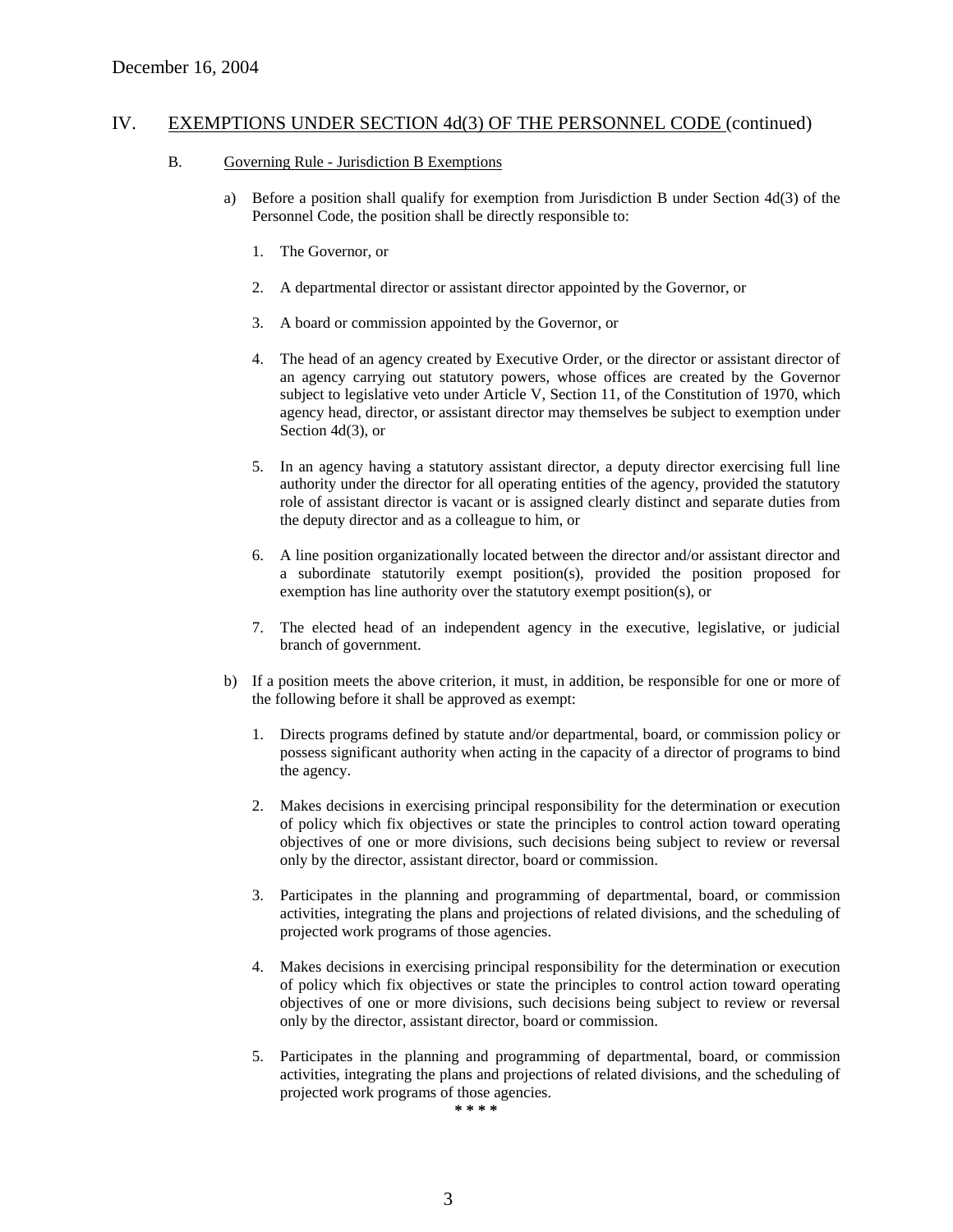#### B. Governing Rule - Jurisdiction B Exemptions

- a) Before a position shall qualify for exemption from Jurisdiction B under Section 4d(3) of the Personnel Code, the position shall be directly responsible to:
	- 1. The Governor, or
	- 2. A departmental director or assistant director appointed by the Governor, or
	- 3. A board or commission appointed by the Governor, or
	- 4. The head of an agency created by Executive Order, or the director or assistant director of an agency carrying out statutory powers, whose offices are created by the Governor subject to legislative veto under Article V, Section 11, of the Constitution of 1970, which agency head, director, or assistant director may themselves be subject to exemption under Section 4d(3), or
	- 5. In an agency having a statutory assistant director, a deputy director exercising full line authority under the director for all operating entities of the agency, provided the statutory role of assistant director is vacant or is assigned clearly distinct and separate duties from the deputy director and as a colleague to him, or
	- 6. A line position organizationally located between the director and/or assistant director and a subordinate statutorily exempt position(s), provided the position proposed for exemption has line authority over the statutory exempt position(s), or
	- 7. The elected head of an independent agency in the executive, legislative, or judicial branch of government.
- b) If a position meets the above criterion, it must, in addition, be responsible for one or more of the following before it shall be approved as exempt:
	- 1. Directs programs defined by statute and/or departmental, board, or commission policy or possess significant authority when acting in the capacity of a director of programs to bind the agency.
	- 2. Makes decisions in exercising principal responsibility for the determination or execution of policy which fix objectives or state the principles to control action toward operating objectives of one or more divisions, such decisions being subject to review or reversal only by the director, assistant director, board or commission.
	- 3. Participates in the planning and programming of departmental, board, or commission activities, integrating the plans and projections of related divisions, and the scheduling of projected work programs of those agencies.
	- 4. Makes decisions in exercising principal responsibility for the determination or execution of policy which fix objectives or state the principles to control action toward operating objectives of one or more divisions, such decisions being subject to review or reversal only by the director, assistant director, board or commission.
	- 5. Participates in the planning and programming of departmental, board, or commission activities, integrating the plans and projections of related divisions, and the scheduling of projected work programs of those agencies.

**\* \* \* \***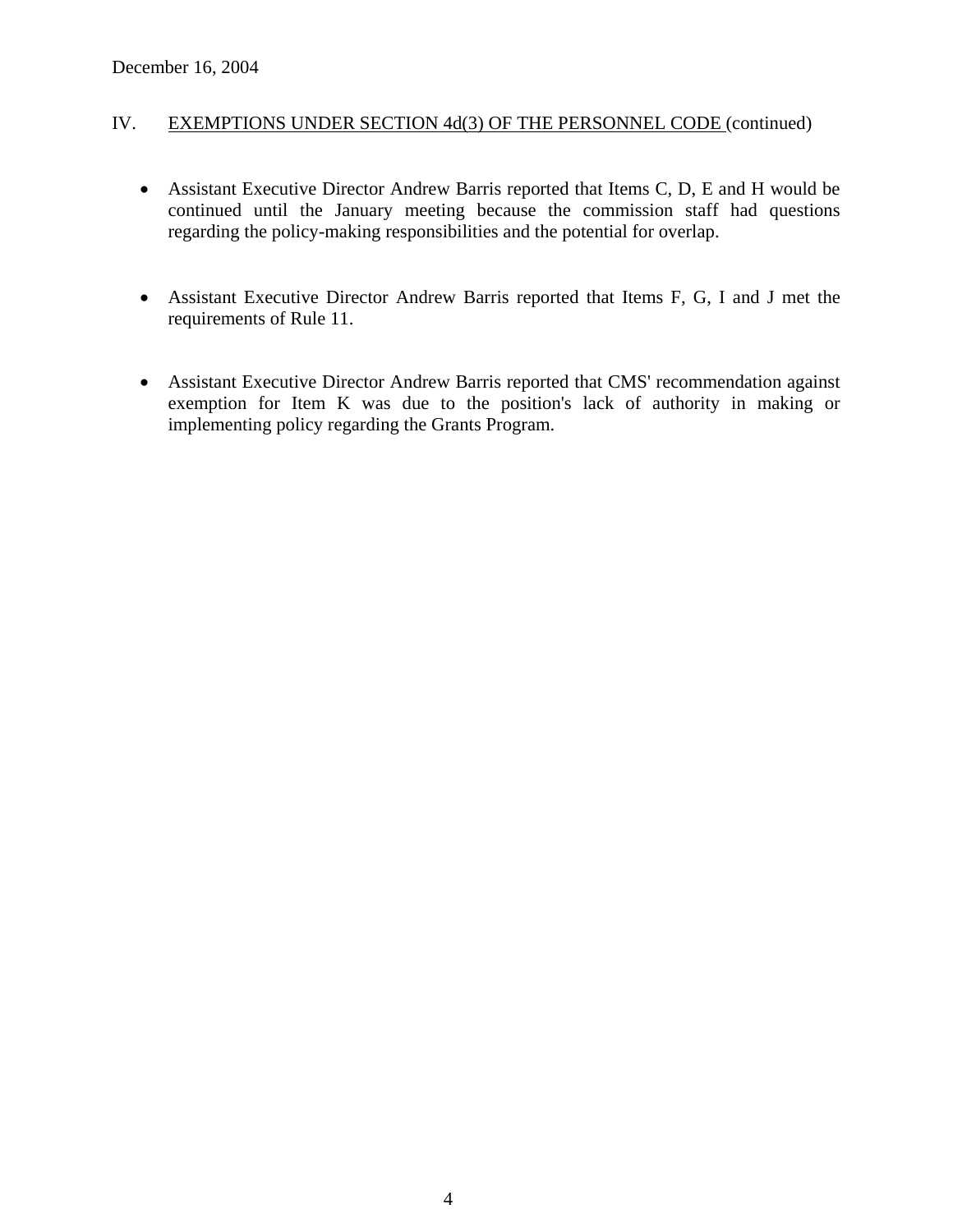- Assistant Executive Director Andrew Barris reported that Items C, D, E and H would be continued until the January meeting because the commission staff had questions regarding the policy-making responsibilities and the potential for overlap.
- Assistant Executive Director Andrew Barris reported that Items F, G, I and J met the requirements of Rule 11.
- Assistant Executive Director Andrew Barris reported that CMS' recommendation against exemption for Item K was due to the position's lack of authority in making or implementing policy regarding the Grants Program.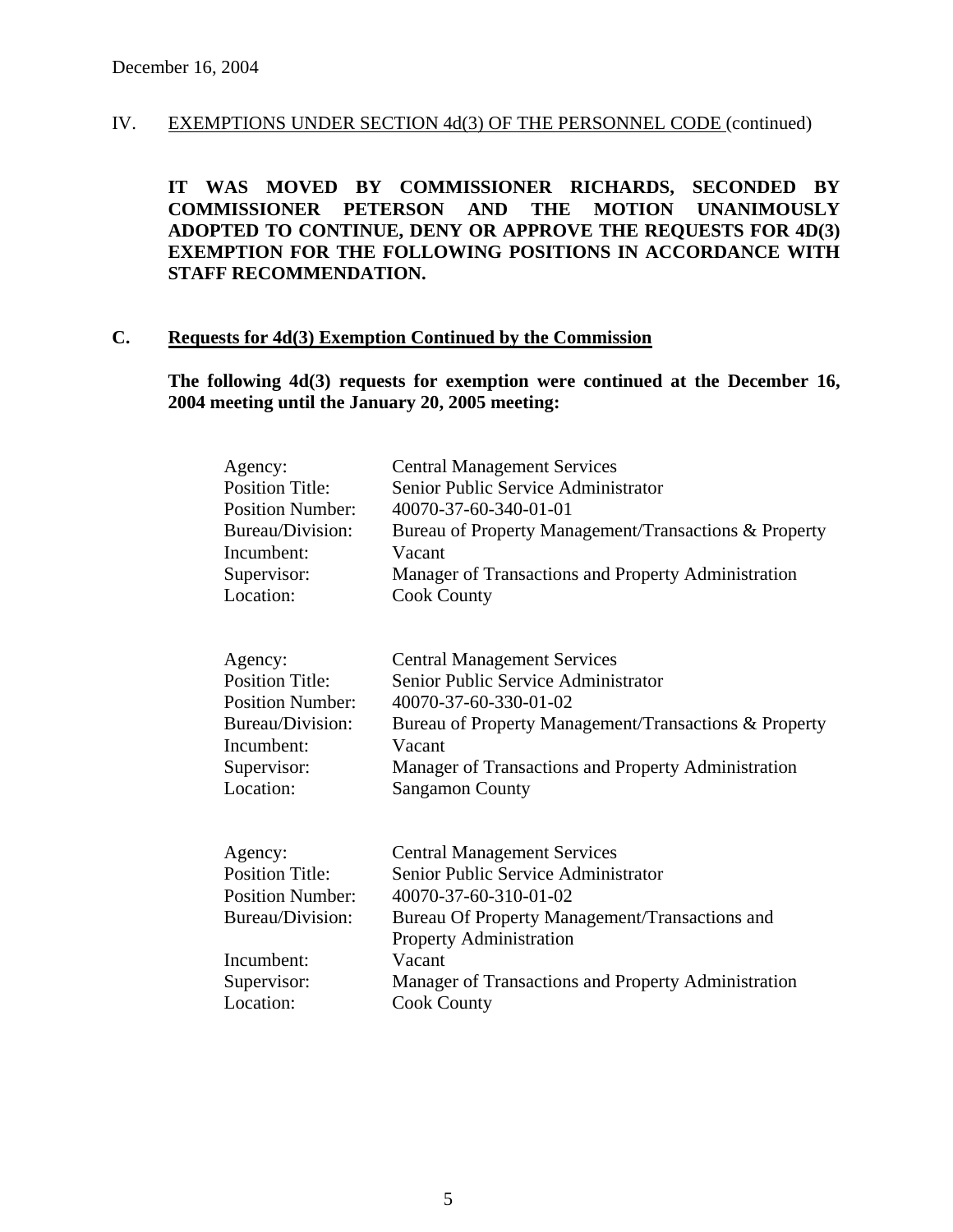**IT WAS MOVED BY COMMISSIONER RICHARDS, SECONDED BY COMMISSIONER PETERSON AND THE MOTION UNANIMOUSLY ADOPTED TO CONTINUE, DENY OR APPROVE THE REQUESTS FOR 4D(3) EXEMPTION FOR THE FOLLOWING POSITIONS IN ACCORDANCE WITH STAFF RECOMMENDATION.** 

# **C. Requests for 4d(3) Exemption Continued by the Commission**

**The following 4d(3) requests for exemption were continued at the December 16, 2004 meeting until the January 20, 2005 meeting:** 

| <b>Central Management Services</b><br><b>Position Title:</b><br>Senior Public Service Administrator<br><b>Position Number:</b><br>40070-37-60-340-01-01<br>Bureau/Division:<br>Bureau of Property Management/Transactions & Property<br>Vacant                                                                                  |
|---------------------------------------------------------------------------------------------------------------------------------------------------------------------------------------------------------------------------------------------------------------------------------------------------------------------------------|
| Manager of Transactions and Property Administration<br><b>Cook County</b>                                                                                                                                                                                                                                                       |
| <b>Central Management Services</b><br>Senior Public Service Administrator<br><b>Position Title:</b><br><b>Position Number:</b><br>40070-37-60-330-01-02<br>Bureau/Division:<br>Bureau of Property Management/Transactions & Property<br>Vacant<br>Manager of Transactions and Property Administration<br><b>Sangamon County</b> |
| <b>Central Management Services</b><br>Senior Public Service Administrator<br><b>Position Number:</b><br>40070-37-60-310-01-02<br>Bureau/Division:<br>Bureau Of Property Management/Transactions and<br><b>Property Administration</b><br>Vacant<br>Manager of Transactions and Property Administration<br><b>Cook County</b>    |
| <b>Position Title:</b>                                                                                                                                                                                                                                                                                                          |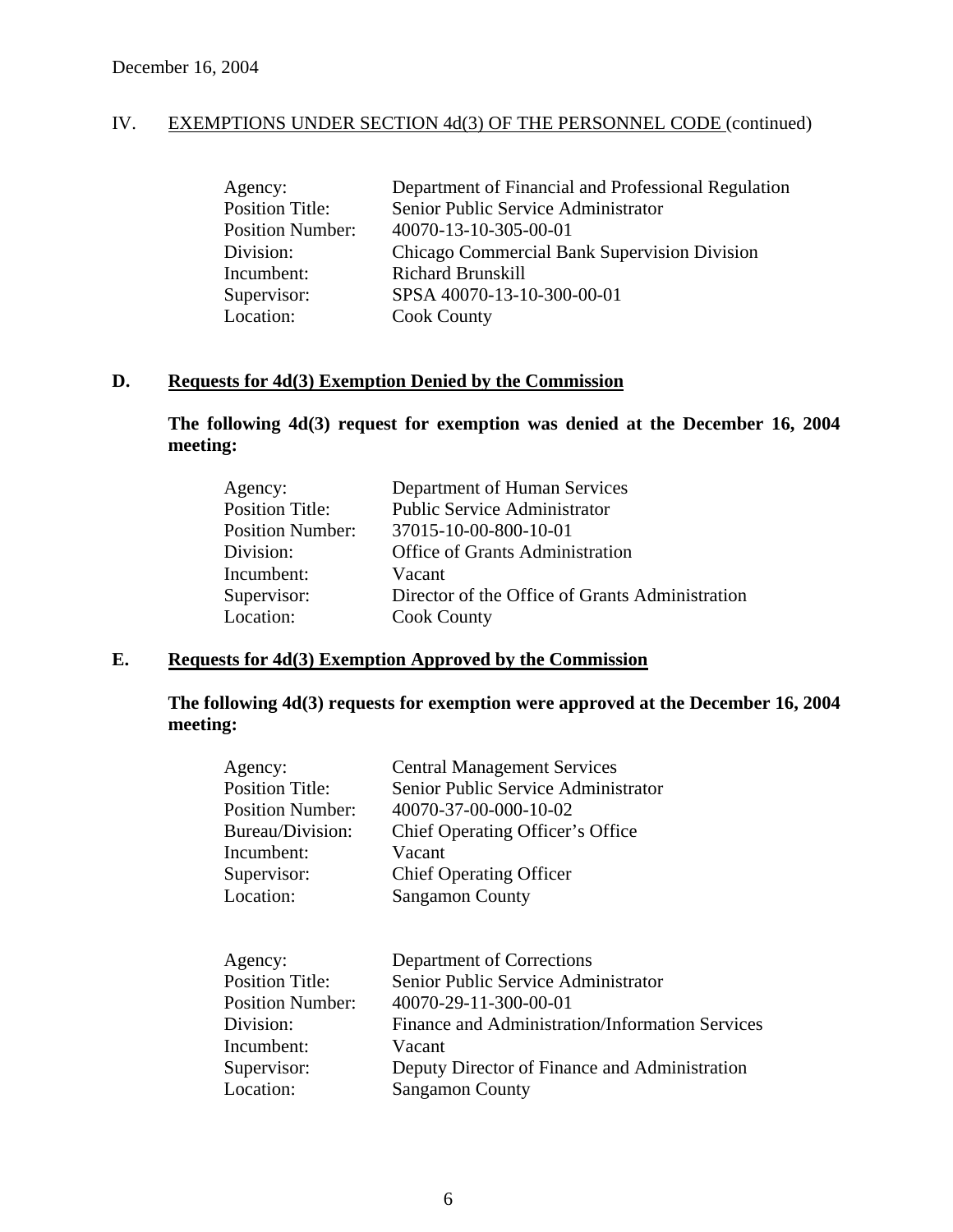| Agency:                 | Department of Financial and Professional Regulation |
|-------------------------|-----------------------------------------------------|
| <b>Position Title:</b>  | Senior Public Service Administrator                 |
| <b>Position Number:</b> | 40070-13-10-305-00-01                               |
| Division:               | Chicago Commercial Bank Supervision Division        |
| Incumbent:              | <b>Richard Brunskill</b>                            |
| Supervisor:             | SPSA 40070-13-10-300-00-01                          |
| Location:               | <b>Cook County</b>                                  |

# **D. Requests for 4d(3) Exemption Denied by the Commission**

**The following 4d(3) request for exemption was denied at the December 16, 2004 meeting:** 

| Agency:                 | Department of Human Services                    |
|-------------------------|-------------------------------------------------|
| <b>Position Title:</b>  | <b>Public Service Administrator</b>             |
| <b>Position Number:</b> | 37015-10-00-800-10-01                           |
| Division:               | <b>Office of Grants Administration</b>          |
| Incumbent:              | Vacant                                          |
| Supervisor:             | Director of the Office of Grants Administration |
| Location:               | <b>Cook County</b>                              |
|                         |                                                 |

### **E. Requests for 4d(3) Exemption Approved by the Commission**

### **The following 4d(3) requests for exemption were approved at the December 16, 2004 meeting:**

| Agency:                 | <b>Central Management Services</b>              |
|-------------------------|-------------------------------------------------|
| <b>Position Title:</b>  | Senior Public Service Administrator             |
| <b>Position Number:</b> | 40070-37-00-000-10-02                           |
| Bureau/Division:        | Chief Operating Officer's Office                |
| Incumbent:              | Vacant                                          |
| Supervisor:             | <b>Chief Operating Officer</b>                  |
| Location:               | <b>Sangamon County</b>                          |
| Agency:                 | Department of Corrections                       |
| <b>Position Title:</b>  | Senior Public Service Administrator             |
| <b>Position Number:</b> | 40070-29-11-300-00-01                           |
| Division:               | Finance and Administration/Information Services |
| Incumbent:              | Vacant                                          |
| Supervisor:             | Deputy Director of Finance and Administration   |
| Location:               | <b>Sangamon County</b>                          |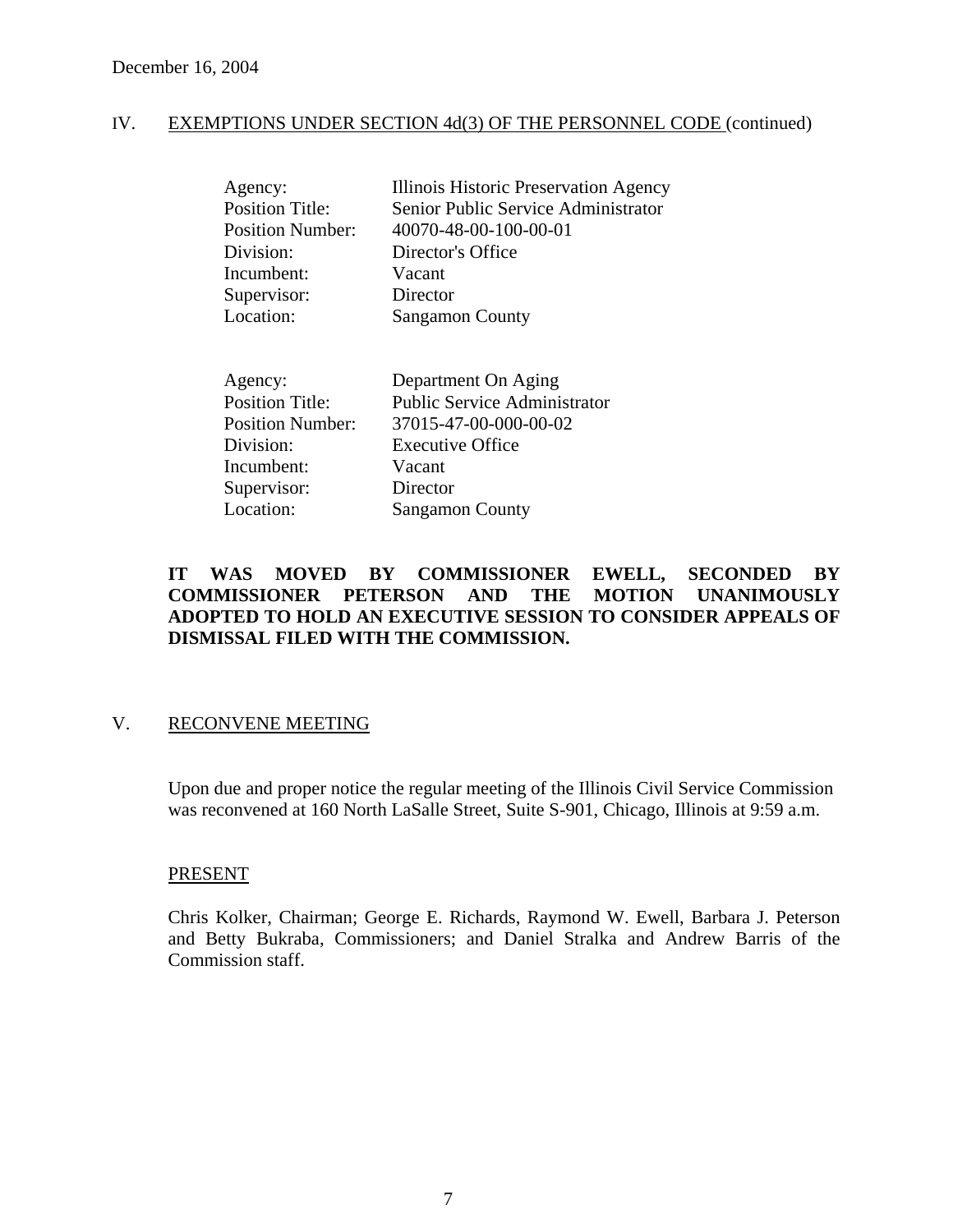| Agency:                 | Illinois Historic Preservation Agency |
|-------------------------|---------------------------------------|
| <b>Position Title:</b>  | Senior Public Service Administrator   |
| <b>Position Number:</b> | 40070-48-00-100-00-01                 |
| Division:               | Director's Office                     |
| Incumbent:              | Vacant                                |
| Supervisor:             | Director                              |
| Location:               | <b>Sangamon County</b>                |
|                         |                                       |
|                         |                                       |

| Department On Aging                 |
|-------------------------------------|
| <b>Public Service Administrator</b> |
| 37015-47-00-000-00-02               |
| <b>Executive Office</b>             |
| Vacant                              |
| Director                            |
| <b>Sangamon County</b>              |
|                                     |

# **IT WAS MOVED BY COMMISSIONER EWELL, SECONDED BY COMMISSIONER PETERSON AND THE MOTION UNANIMOUSLY ADOPTED TO HOLD AN EXECUTIVE SESSION TO CONSIDER APPEALS OF DISMISSAL FILED WITH THE COMMISSION.**

# V. RECONVENE MEETING

Upon due and proper notice the regular meeting of the Illinois Civil Service Commission was reconvened at 160 North LaSalle Street, Suite S-901, Chicago, Illinois at 9:59 a.m.

#### PRESENT

Chris Kolker, Chairman; George E. Richards, Raymond W. Ewell, Barbara J. Peterson and Betty Bukraba, Commissioners; and Daniel Stralka and Andrew Barris of the Commission staff.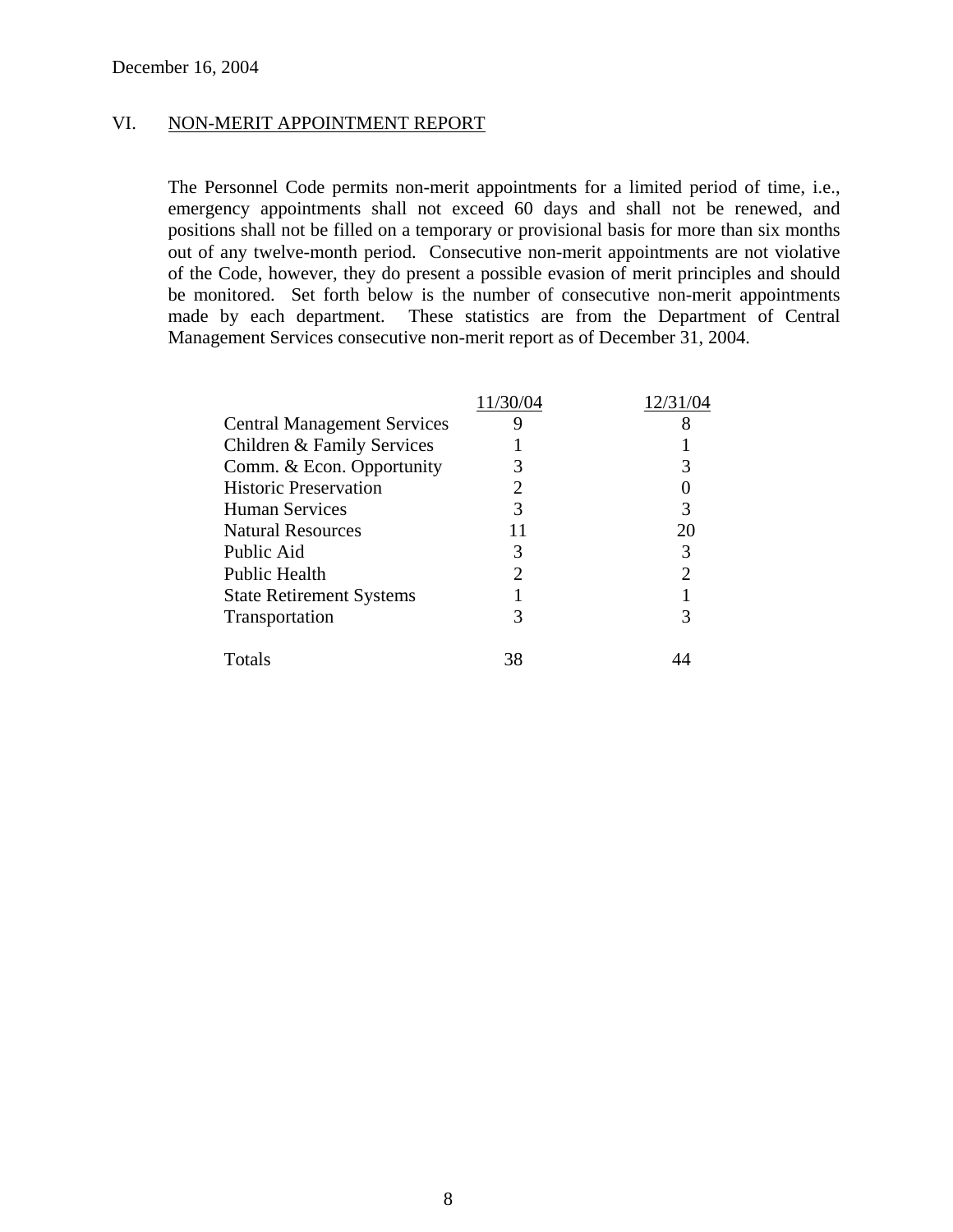#### VI. NON-MERIT APPOINTMENT REPORT

The Personnel Code permits non-merit appointments for a limited period of time, i.e., emergency appointments shall not exceed 60 days and shall not be renewed, and positions shall not be filled on a temporary or provisional basis for more than six months out of any twelve-month period. Consecutive non-merit appointments are not violative of the Code, however, they do present a possible evasion of merit principles and should be monitored. Set forth below is the number of consecutive non-merit appointments made by each department. These statistics are from the Department of Central Management Services consecutive non-merit report as of December 31, 2004.

|                                    | 11/30/04 |    |
|------------------------------------|----------|----|
| <b>Central Management Services</b> | 9        |    |
| Children & Family Services         |          |    |
| Comm. & Econ. Opportunity          |          |    |
| <b>Historic Preservation</b>       |          |    |
| <b>Human Services</b>              |          |    |
| <b>Natural Resources</b>           |          | 20 |
| Public Aid                         |          |    |
| Public Health                      |          |    |
| <b>State Retirement Systems</b>    |          |    |
| Transportation                     |          |    |
| Totals                             | 38       |    |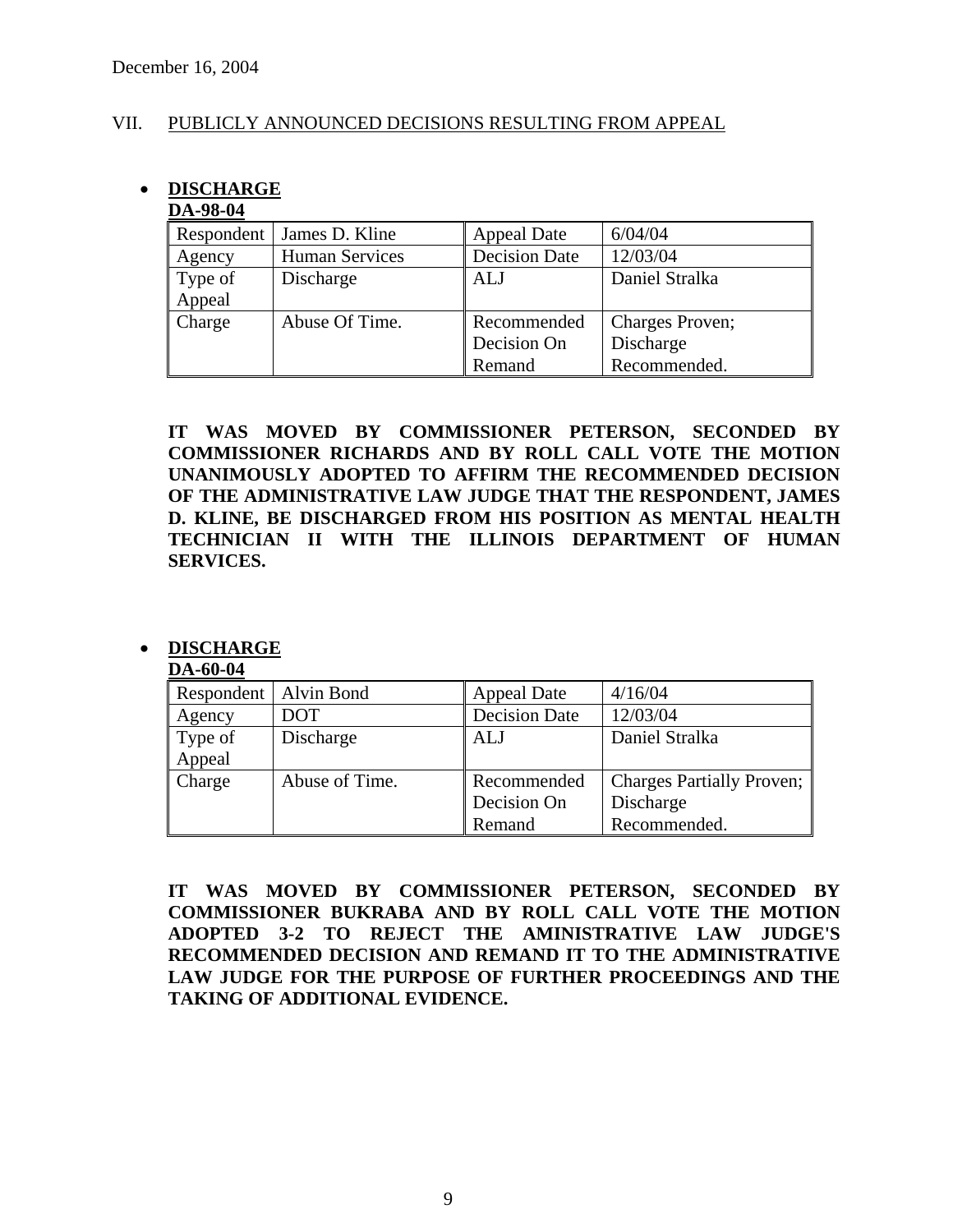#### VII. PUBLICLY ANNOUNCED DECISIONS RESULTING FROM APPEAL

# • **DISCHARGE**

#### **DA-98-04**

| Respondent | James D. Kline        | <b>Appeal Date</b>   | 6/04/04         |
|------------|-----------------------|----------------------|-----------------|
| Agency     | <b>Human Services</b> | <b>Decision Date</b> | 12/03/04        |
| Type of    | Discharge             | ALJ                  | Daniel Stralka  |
| Appeal     |                       |                      |                 |
| Charge     | Abuse Of Time.        | Recommended          | Charges Proven; |
|            |                       | Decision On          | Discharge       |
|            |                       | Remand               | Recommended.    |

**IT WAS MOVED BY COMMISSIONER PETERSON, SECONDED BY COMMISSIONER RICHARDS AND BY ROLL CALL VOTE THE MOTION UNANIMOUSLY ADOPTED TO AFFIRM THE RECOMMENDED DECISION OF THE ADMINISTRATIVE LAW JUDGE THAT THE RESPONDENT, JAMES D. KLINE, BE DISCHARGED FROM HIS POSITION AS MENTAL HEALTH TECHNICIAN II WITH THE ILLINOIS DEPARTMENT OF HUMAN SERVICES.** 

# • **DISCHARGE**

#### **DA-60-04**

| Respondent | Alvin Bond     | <b>Appeal Date</b>   | 4/16/04                          |
|------------|----------------|----------------------|----------------------------------|
| Agency     | DOT            | <b>Decision Date</b> | 12/03/04                         |
| Type of    | Discharge      | <b>ALJ</b>           | Daniel Stralka                   |
| Appeal     |                |                      |                                  |
| Charge     | Abuse of Time. | Recommended          | <b>Charges Partially Proven;</b> |
|            |                | Decision On          | Discharge                        |
|            |                | Remand               | Recommended.                     |

**IT WAS MOVED BY COMMISSIONER PETERSON, SECONDED BY COMMISSIONER BUKRABA AND BY ROLL CALL VOTE THE MOTION ADOPTED 3-2 TO REJECT THE AMINISTRATIVE LAW JUDGE'S RECOMMENDED DECISION AND REMAND IT TO THE ADMINISTRATIVE LAW JUDGE FOR THE PURPOSE OF FURTHER PROCEEDINGS AND THE TAKING OF ADDITIONAL EVIDENCE.**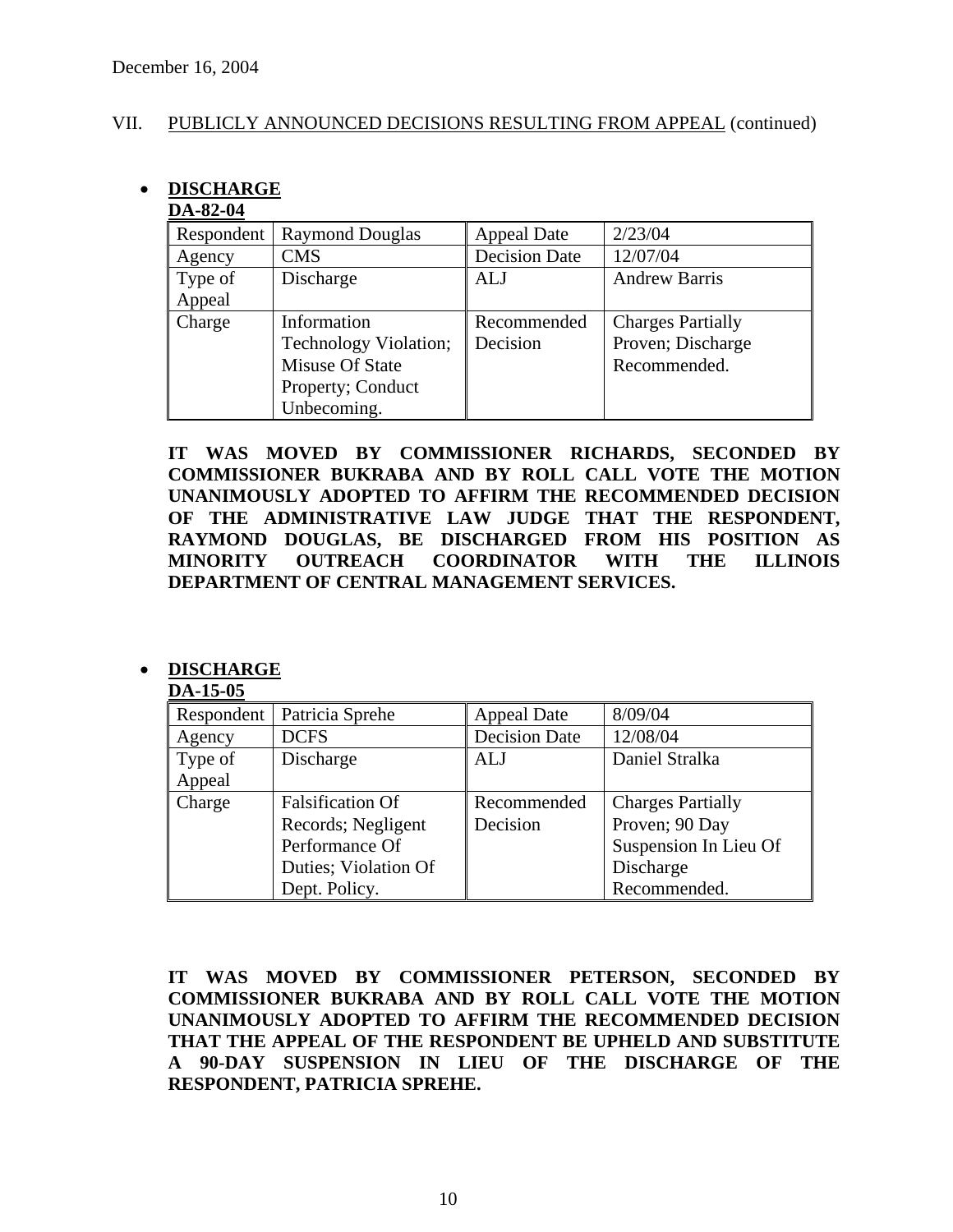#### VII. PUBLICLY ANNOUNCED DECISIONS RESULTING FROM APPEAL (continued)

# • **DISCHARGE**

# **DA-82-04**

| Respondent | <b>Raymond Douglas</b> | <b>Appeal Date</b>   | 2/23/04                  |
|------------|------------------------|----------------------|--------------------------|
| Agency     | <b>CMS</b>             | <b>Decision Date</b> | 12/07/04                 |
| Type of    | Discharge              | ALJ                  | <b>Andrew Barris</b>     |
| Appeal     |                        |                      |                          |
| Charge     | Information            | Recommended          | <b>Charges Partially</b> |
|            | Technology Violation;  | Decision             | Proven; Discharge        |
|            | Misuse Of State        |                      | Recommended.             |
|            | Property; Conduct      |                      |                          |
|            | Unbecoming.            |                      |                          |

**IT WAS MOVED BY COMMISSIONER RICHARDS, SECONDED BY COMMISSIONER BUKRABA AND BY ROLL CALL VOTE THE MOTION UNANIMOUSLY ADOPTED TO AFFIRM THE RECOMMENDED DECISION OF THE ADMINISTRATIVE LAW JUDGE THAT THE RESPONDENT, RAYMOND DOUGLAS, BE DISCHARGED FROM HIS POSITION AS MINORITY OUTREACH COORDINATOR WITH THE ILLINOIS DEPARTMENT OF CENTRAL MANAGEMENT SERVICES.** 

# • **DISCHARGE**

#### **DA-15-05**

| <i></i> .  v. |                         |                      |                          |
|---------------|-------------------------|----------------------|--------------------------|
| Respondent    | Patricia Sprehe         | <b>Appeal Date</b>   | 8/09/04                  |
| Agency        | <b>DCFS</b>             | <b>Decision Date</b> | 12/08/04                 |
| Type of       | Discharge               | ALJ                  | Daniel Stralka           |
| Appeal        |                         |                      |                          |
| Charge        | <b>Falsification Of</b> | Recommended          | <b>Charges Partially</b> |
|               | Records; Negligent      | Decision             | Proven; 90 Day           |
|               | Performance Of          |                      | Suspension In Lieu Of    |
|               | Duties; Violation Of    |                      | Discharge                |
|               | Dept. Policy.           |                      | Recommended.             |

**IT WAS MOVED BY COMMISSIONER PETERSON, SECONDED BY COMMISSIONER BUKRABA AND BY ROLL CALL VOTE THE MOTION UNANIMOUSLY ADOPTED TO AFFIRM THE RECOMMENDED DECISION THAT THE APPEAL OF THE RESPONDENT BE UPHELD AND SUBSTITUTE A 90-DAY SUSPENSION IN LIEU OF THE DISCHARGE OF THE RESPONDENT, PATRICIA SPREHE.**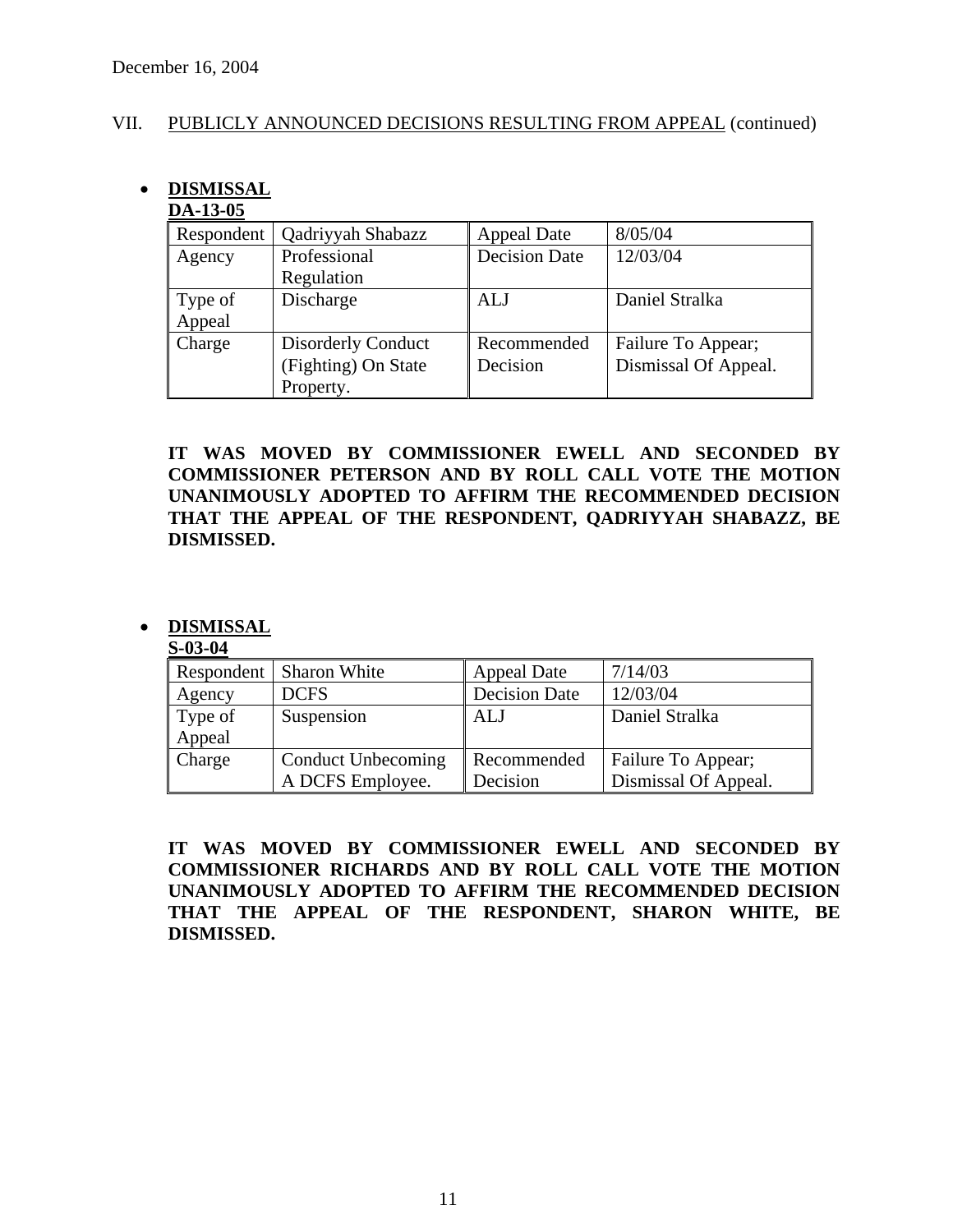#### VII. PUBLICLY ANNOUNCED DECISIONS RESULTING FROM APPEAL (continued)

# • **DISMISSAL**

#### **DA-13-05**

| Respondent | Qadriyyah Shabazz         | <b>Appeal Date</b>   | 8/05/04              |
|------------|---------------------------|----------------------|----------------------|
| Agency     | Professional              | <b>Decision Date</b> | 12/03/04             |
|            | Regulation                |                      |                      |
| Type of    | Discharge                 | ALJ                  | Daniel Stralka       |
| Appeal     |                           |                      |                      |
| Charge     | <b>Disorderly Conduct</b> | Recommended          | Failure To Appear;   |
|            | (Fighting) On State       | Decision             | Dismissal Of Appeal. |
|            | Property.                 |                      |                      |

**IT WAS MOVED BY COMMISSIONER EWELL AND SECONDED BY COMMISSIONER PETERSON AND BY ROLL CALL VOTE THE MOTION UNANIMOUSLY ADOPTED TO AFFIRM THE RECOMMENDED DECISION THAT THE APPEAL OF THE RESPONDENT, QADRIYYAH SHABAZZ, BE DISMISSED.** 

# • **DISMISSAL**

#### **S-03-04**

|         | Respondent   Sharon White | <b>Appeal Date</b>   | 7/14/03              |
|---------|---------------------------|----------------------|----------------------|
| Agency  | <b>DCFS</b>               | <b>Decision Date</b> | 12/03/04             |
| Type of | Suspension                | ALJ                  | Daniel Stralka       |
| Appeal  |                           |                      |                      |
| Charge  | Conduct Unbecoming        | Recommended          | Failure To Appear;   |
|         | A DCFS Employee.          | Decision             | Dismissal Of Appeal. |

**IT WAS MOVED BY COMMISSIONER EWELL AND SECONDED BY COMMISSIONER RICHARDS AND BY ROLL CALL VOTE THE MOTION UNANIMOUSLY ADOPTED TO AFFIRM THE RECOMMENDED DECISION THAT THE APPEAL OF THE RESPONDENT, SHARON WHITE, BE DISMISSED.**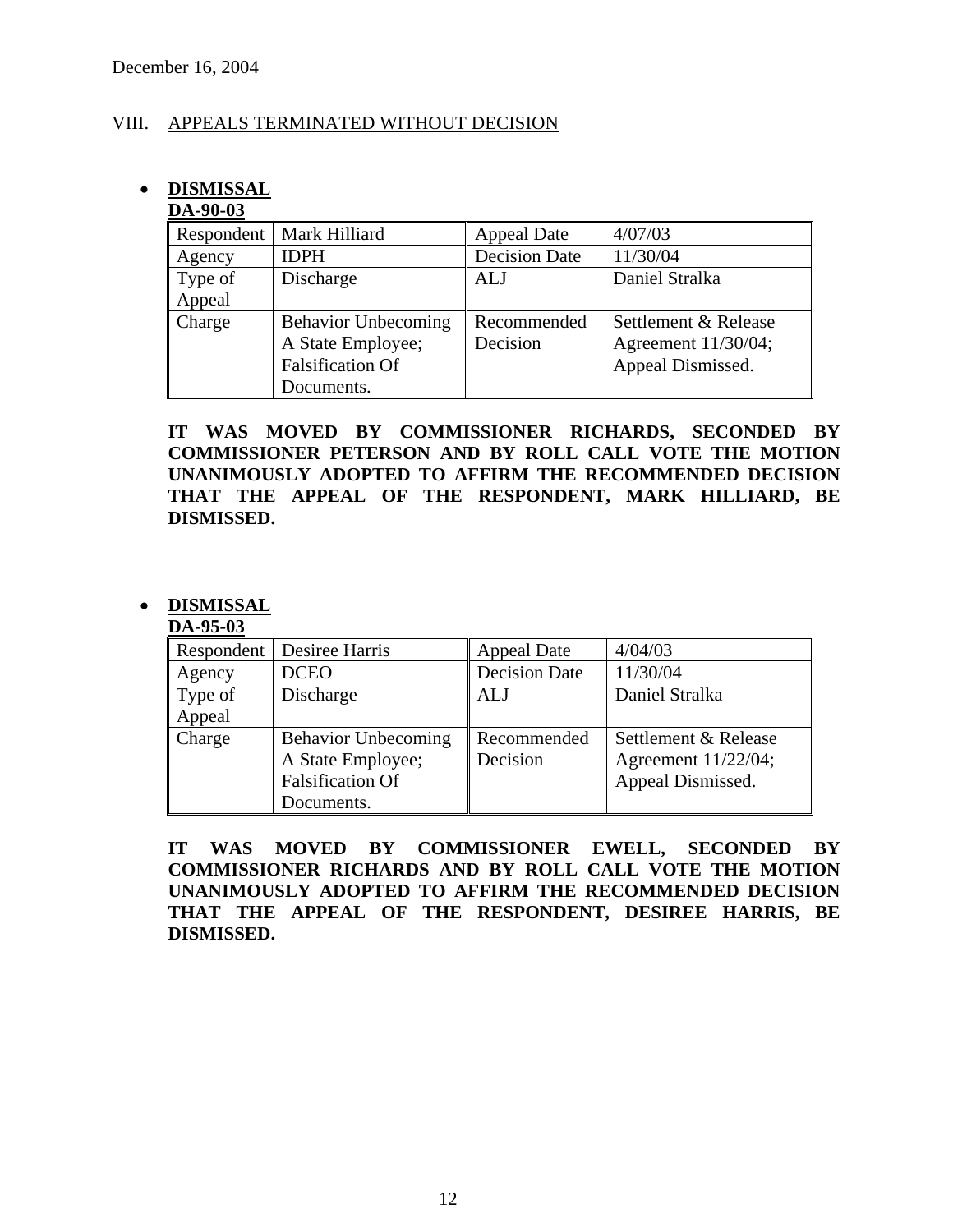#### VIII. APPEALS TERMINATED WITHOUT DECISION

# • **DISMISSAL**

#### **DA-90-03**

| Respondent | Mark Hilliard              | <b>Appeal Date</b>   | 4/07/03              |
|------------|----------------------------|----------------------|----------------------|
| Agency     | <b>IDPH</b>                | <b>Decision Date</b> | 11/30/04             |
| Type of    | Discharge                  | <b>ALJ</b>           | Daniel Stralka       |
| Appeal     |                            |                      |                      |
| Charge     | <b>Behavior Unbecoming</b> | Recommended          | Settlement & Release |
|            | A State Employee;          | Decision             | Agreement 11/30/04;  |
|            | <b>Falsification Of</b>    |                      | Appeal Dismissed.    |
|            | Documents.                 |                      |                      |

**IT WAS MOVED BY COMMISSIONER RICHARDS, SECONDED BY COMMISSIONER PETERSON AND BY ROLL CALL VOTE THE MOTION UNANIMOUSLY ADOPTED TO AFFIRM THE RECOMMENDED DECISION THAT THE APPEAL OF THE RESPONDENT, MARK HILLIARD, BE DISMISSED.** 

# • **DISMISSAL**

#### **DA-95-03**

| Respondent | Desiree Harris             | <b>Appeal Date</b>   | 4/04/03              |
|------------|----------------------------|----------------------|----------------------|
| Agency     | <b>DCEO</b>                | <b>Decision Date</b> | 11/30/04             |
| Type of    | Discharge                  | ALJ                  | Daniel Stralka       |
| Appeal     |                            |                      |                      |
| Charge     | <b>Behavior Unbecoming</b> | Recommended          | Settlement & Release |
|            | A State Employee;          | Decision             | Agreement 11/22/04;  |
|            | <b>Falsification Of</b>    |                      | Appeal Dismissed.    |
|            | Documents.                 |                      |                      |

**IT WAS MOVED BY COMMISSIONER EWELL, SECONDED BY COMMISSIONER RICHARDS AND BY ROLL CALL VOTE THE MOTION UNANIMOUSLY ADOPTED TO AFFIRM THE RECOMMENDED DECISION THAT THE APPEAL OF THE RESPONDENT, DESIREE HARRIS, BE DISMISSED.**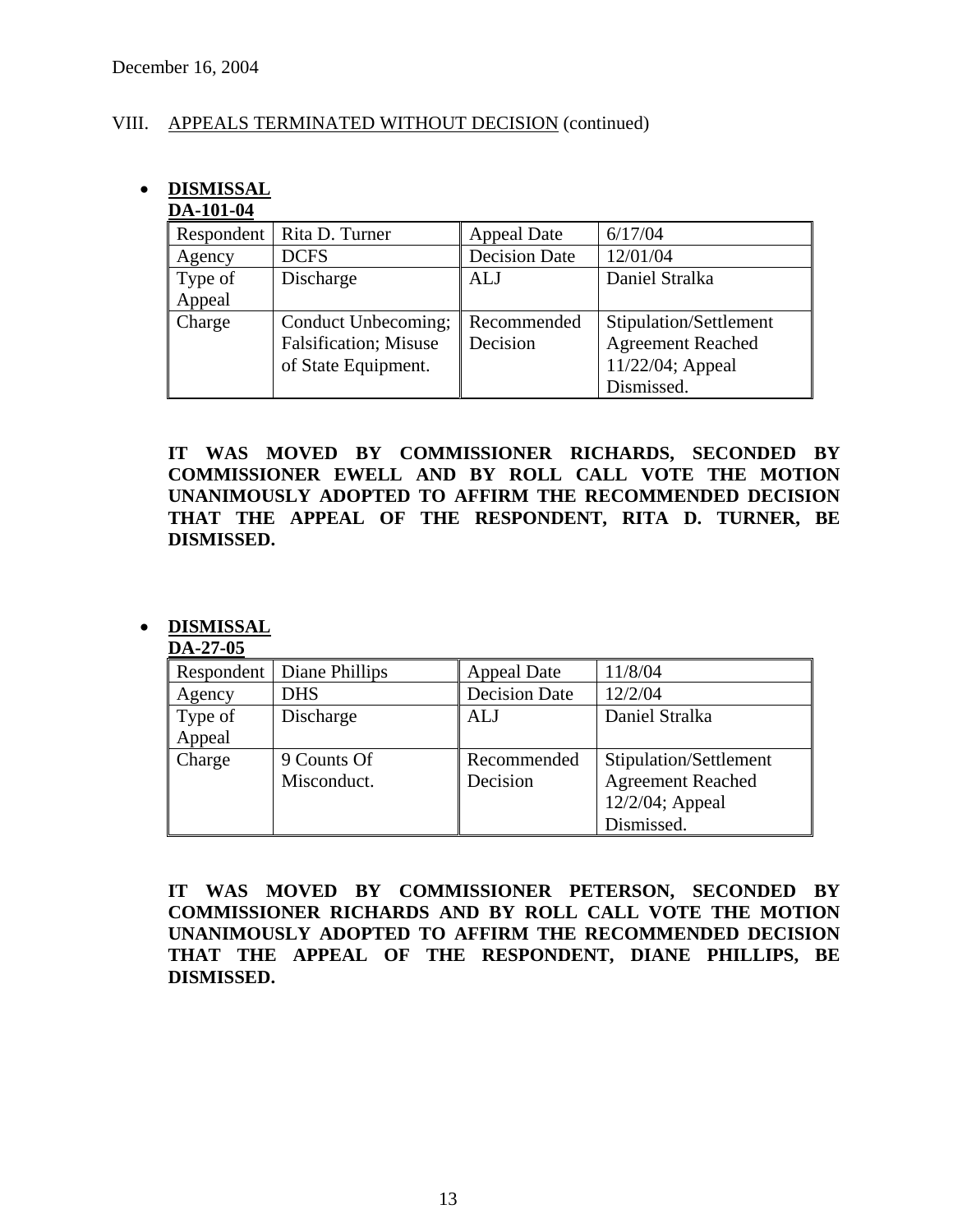### VIII. APPEALS TERMINATED WITHOUT DECISION (continued)

# • **DISMISSAL**

# **DA-101-04**

| Respondent | Rita D. Turner                | <b>Appeal Date</b>   | 6/17/04                  |
|------------|-------------------------------|----------------------|--------------------------|
| Agency     | <b>DCFS</b>                   | <b>Decision Date</b> | 12/01/04                 |
| Type of    | Discharge                     | ALJ                  | Daniel Stralka           |
| Appeal     |                               |                      |                          |
| Charge     | Conduct Unbecoming;           | Recommended          | Stipulation/Settlement   |
|            | <b>Falsification</b> ; Misuse | Decision             | <b>Agreement Reached</b> |
|            | of State Equipment.           |                      | 11/22/04; Appeal         |
|            |                               |                      | Dismissed.               |

**IT WAS MOVED BY COMMISSIONER RICHARDS, SECONDED BY COMMISSIONER EWELL AND BY ROLL CALL VOTE THE MOTION UNANIMOUSLY ADOPTED TO AFFIRM THE RECOMMENDED DECISION THAT THE APPEAL OF THE RESPONDENT, RITA D. TURNER, BE DISMISSED.** 

# • **DISMISSAL**

#### **DA-27-05**

| Respondent | Diane Phillips | <b>Appeal Date</b>   | 11/8/04                  |
|------------|----------------|----------------------|--------------------------|
| Agency     | <b>DHS</b>     | <b>Decision Date</b> | 12/2/04                  |
| Type of    | Discharge      | ALJ                  | Daniel Stralka           |
| Appeal     |                |                      |                          |
| Charge     | 9 Counts Of    | Recommended          | Stipulation/Settlement   |
|            | Misconduct.    | Decision             | <b>Agreement Reached</b> |
|            |                |                      | 12/2/04; Appeal          |
|            |                |                      | Dismissed.               |

**IT WAS MOVED BY COMMISSIONER PETERSON, SECONDED BY COMMISSIONER RICHARDS AND BY ROLL CALL VOTE THE MOTION UNANIMOUSLY ADOPTED TO AFFIRM THE RECOMMENDED DECISION THAT THE APPEAL OF THE RESPONDENT, DIANE PHILLIPS, BE DISMISSED.**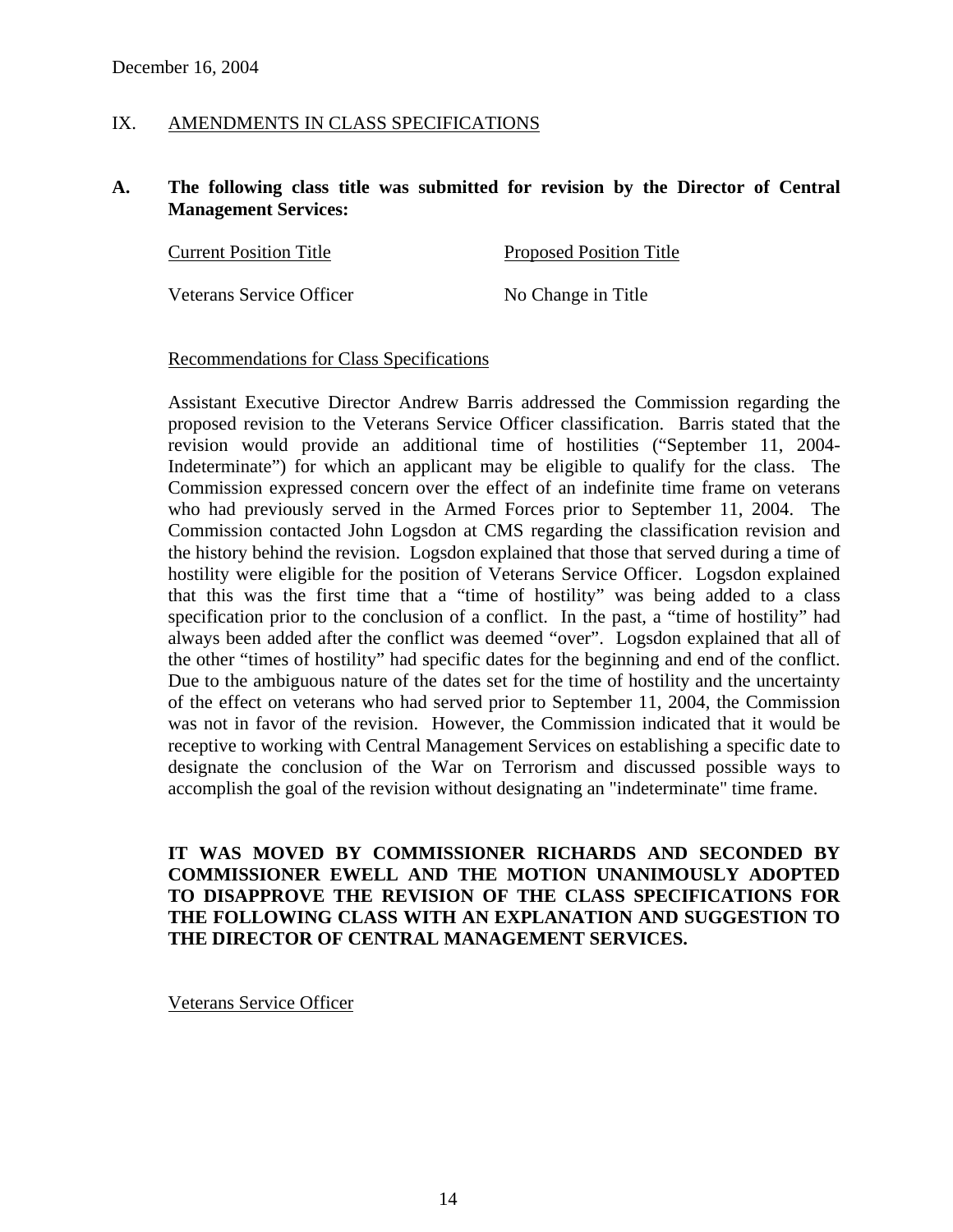#### IX. AMENDMENTS IN CLASS SPECIFICATIONS

#### **A. The following class title was submitted for revision by the Director of Central Management Services:**

| <b>Current Position Title</b> | <b>Proposed Position Title</b> |  |
|-------------------------------|--------------------------------|--|
|                               |                                |  |
| Veterans Service Officer      | No Change in Title             |  |

#### Recommendations for Class Specifications

Assistant Executive Director Andrew Barris addressed the Commission regarding the proposed revision to the Veterans Service Officer classification. Barris stated that the revision would provide an additional time of hostilities ("September 11, 2004- Indeterminate") for which an applicant may be eligible to qualify for the class. The Commission expressed concern over the effect of an indefinite time frame on veterans who had previously served in the Armed Forces prior to September 11, 2004. The Commission contacted John Logsdon at CMS regarding the classification revision and the history behind the revision. Logsdon explained that those that served during a time of hostility were eligible for the position of Veterans Service Officer. Logsdon explained that this was the first time that a "time of hostility" was being added to a class specification prior to the conclusion of a conflict. In the past, a "time of hostility" had always been added after the conflict was deemed "over". Logsdon explained that all of the other "times of hostility" had specific dates for the beginning and end of the conflict. Due to the ambiguous nature of the dates set for the time of hostility and the uncertainty of the effect on veterans who had served prior to September 11, 2004, the Commission was not in favor of the revision. However, the Commission indicated that it would be receptive to working with Central Management Services on establishing a specific date to designate the conclusion of the War on Terrorism and discussed possible ways to accomplish the goal of the revision without designating an "indeterminate" time frame.

**IT WAS MOVED BY COMMISSIONER RICHARDS AND SECONDED BY COMMISSIONER EWELL AND THE MOTION UNANIMOUSLY ADOPTED TO DISAPPROVE THE REVISION OF THE CLASS SPECIFICATIONS FOR THE FOLLOWING CLASS WITH AN EXPLANATION AND SUGGESTION TO THE DIRECTOR OF CENTRAL MANAGEMENT SERVICES.** 

Veterans Service Officer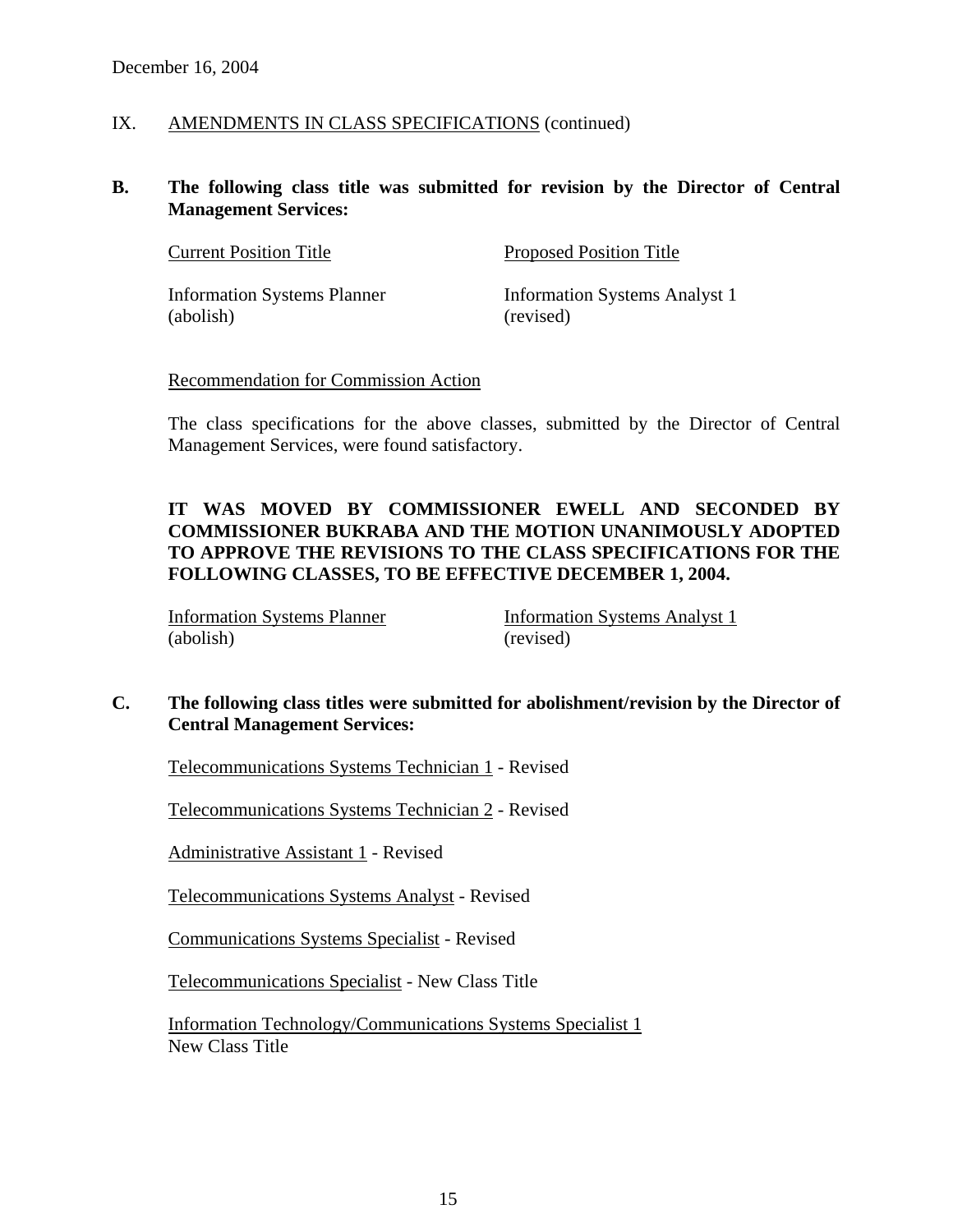#### IX. AMENDMENTS IN CLASS SPECIFICATIONS (continued)

#### **B. The following class title was submitted for revision by the Director of Central Management Services:**

| <b>Current Position Title</b>      | <b>Proposed Position Title</b> |
|------------------------------------|--------------------------------|
| <b>Information Systems Planner</b> | Information Systems Analyst 1  |
| (abolish)                          | (revised)                      |

#### Recommendation for Commission Action

The class specifications for the above classes, submitted by the Director of Central Management Services, were found satisfactory.

# **IT WAS MOVED BY COMMISSIONER EWELL AND SECONDED BY COMMISSIONER BUKRABA AND THE MOTION UNANIMOUSLY ADOPTED TO APPROVE THE REVISIONS TO THE CLASS SPECIFICATIONS FOR THE FOLLOWING CLASSES, TO BE EFFECTIVE DECEMBER 1, 2004.**

Information Systems Planner Information Systems Analyst 1 (abolish) (revised)

# **C. The following class titles were submitted for abolishment/revision by the Director of Central Management Services:**

Telecommunications Systems Technician 1 - Revised

Telecommunications Systems Technician 2 - Revised

Administrative Assistant 1 - Revised

Telecommunications Systems Analyst - Revised

Communications Systems Specialist - Revised

Telecommunications Specialist - New Class Title

Information Technology/Communications Systems Specialist 1 New Class Title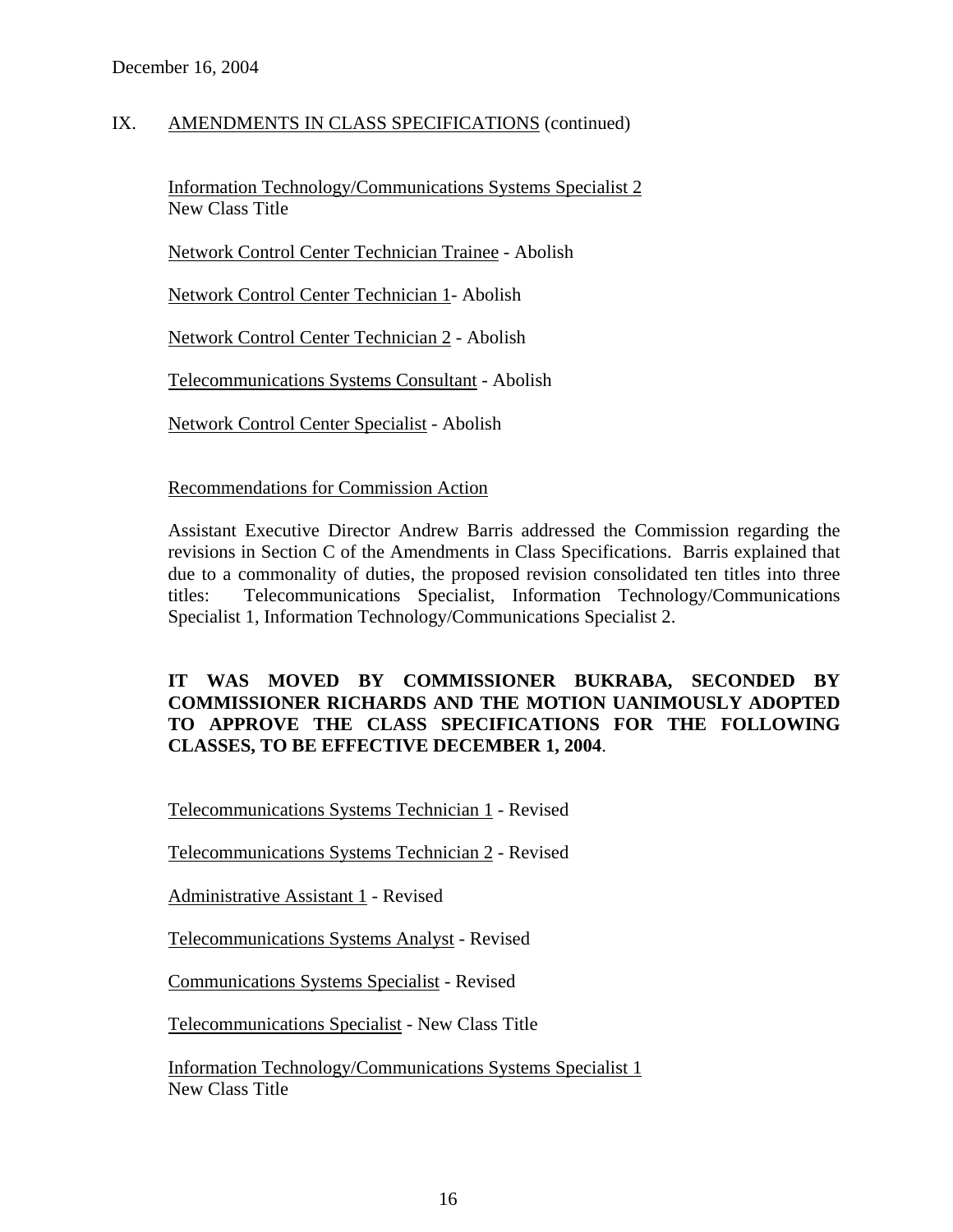### IX. AMENDMENTS IN CLASS SPECIFICATIONS (continued)

Information Technology/Communications Systems Specialist 2 New Class Title

Network Control Center Technician Trainee - Abolish

Network Control Center Technician 1- Abolish

Network Control Center Technician 2 - Abolish

Telecommunications Systems Consultant - Abolish

Network Control Center Specialist - Abolish

#### Recommendations for Commission Action

Assistant Executive Director Andrew Barris addressed the Commission regarding the revisions in Section C of the Amendments in Class Specifications. Barris explained that due to a commonality of duties, the proposed revision consolidated ten titles into three titles: Telecommunications Specialist, Information Technology/Communications Specialist 1, Information Technology/Communications Specialist 2.

#### **IT WAS MOVED BY COMMISSIONER BUKRABA, SECONDED BY COMMISSIONER RICHARDS AND THE MOTION UANIMOUSLY ADOPTED TO APPROVE THE CLASS SPECIFICATIONS FOR THE FOLLOWING CLASSES, TO BE EFFECTIVE DECEMBER 1, 2004**.

Telecommunications Systems Technician 1 - Revised

Telecommunications Systems Technician 2 - Revised

Administrative Assistant 1 - Revised

Telecommunications Systems Analyst - Revised

Communications Systems Specialist - Revised

Telecommunications Specialist - New Class Title

Information Technology/Communications Systems Specialist 1 New Class Title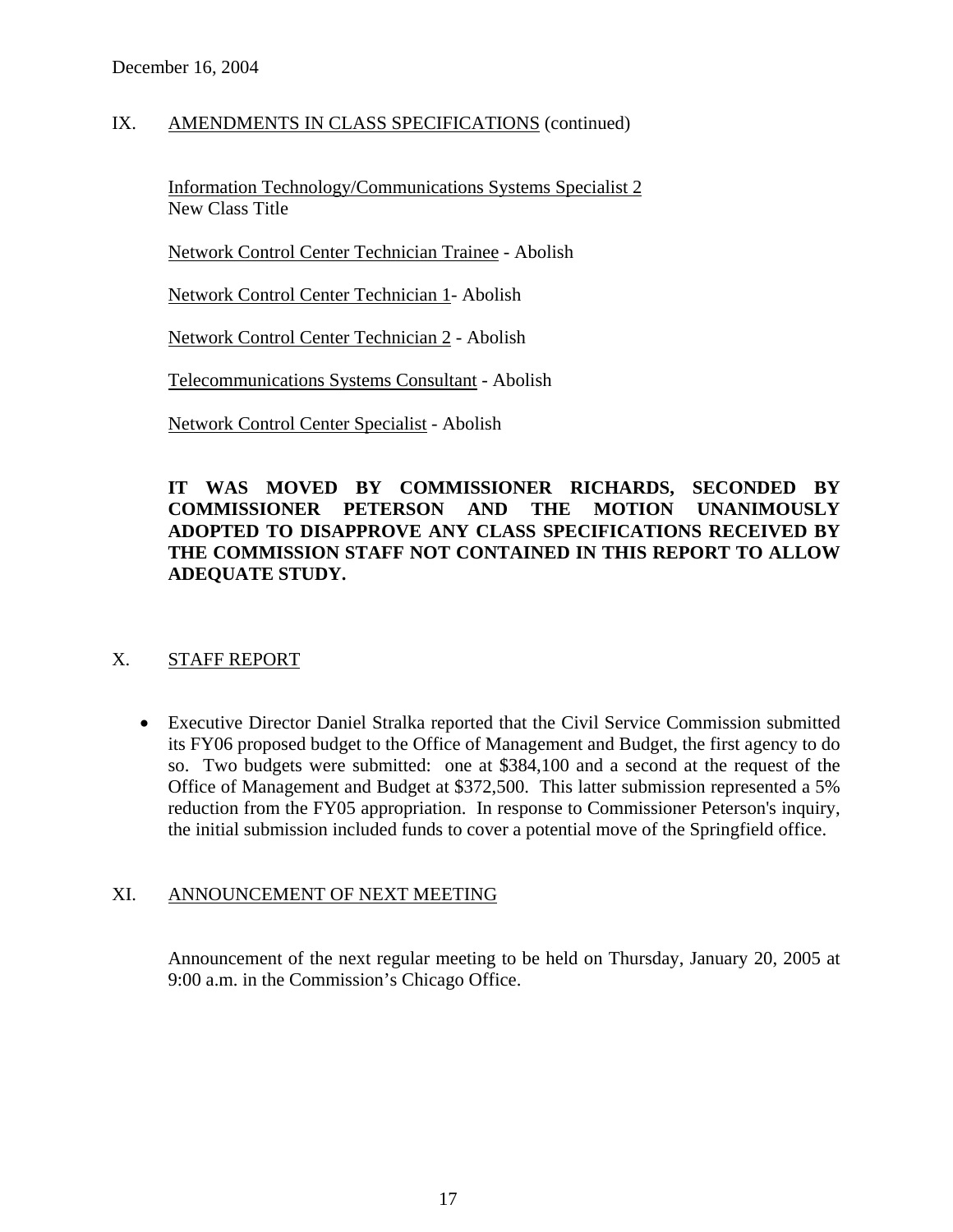### IX. AMENDMENTS IN CLASS SPECIFICATIONS (continued)

Information Technology/Communications Systems Specialist 2 New Class Title

Network Control Center Technician Trainee - Abolish

Network Control Center Technician 1- Abolish

Network Control Center Technician 2 - Abolish

Telecommunications Systems Consultant - Abolish

Network Control Center Specialist - Abolish

### **IT WAS MOVED BY COMMISSIONER RICHARDS, SECONDED BY COMMISSIONER PETERSON AND THE MOTION UNANIMOUSLY ADOPTED TO DISAPPROVE ANY CLASS SPECIFICATIONS RECEIVED BY THE COMMISSION STAFF NOT CONTAINED IN THIS REPORT TO ALLOW ADEQUATE STUDY.**

# X. STAFF REPORT

• Executive Director Daniel Stralka reported that the Civil Service Commission submitted its FY06 proposed budget to the Office of Management and Budget, the first agency to do so. Two budgets were submitted: one at \$384,100 and a second at the request of the Office of Management and Budget at \$372,500. This latter submission represented a 5% reduction from the FY05 appropriation. In response to Commissioner Peterson's inquiry, the initial submission included funds to cover a potential move of the Springfield office.

#### XI. ANNOUNCEMENT OF NEXT MEETING

Announcement of the next regular meeting to be held on Thursday, January 20, 2005 at 9:00 a.m. in the Commission's Chicago Office.